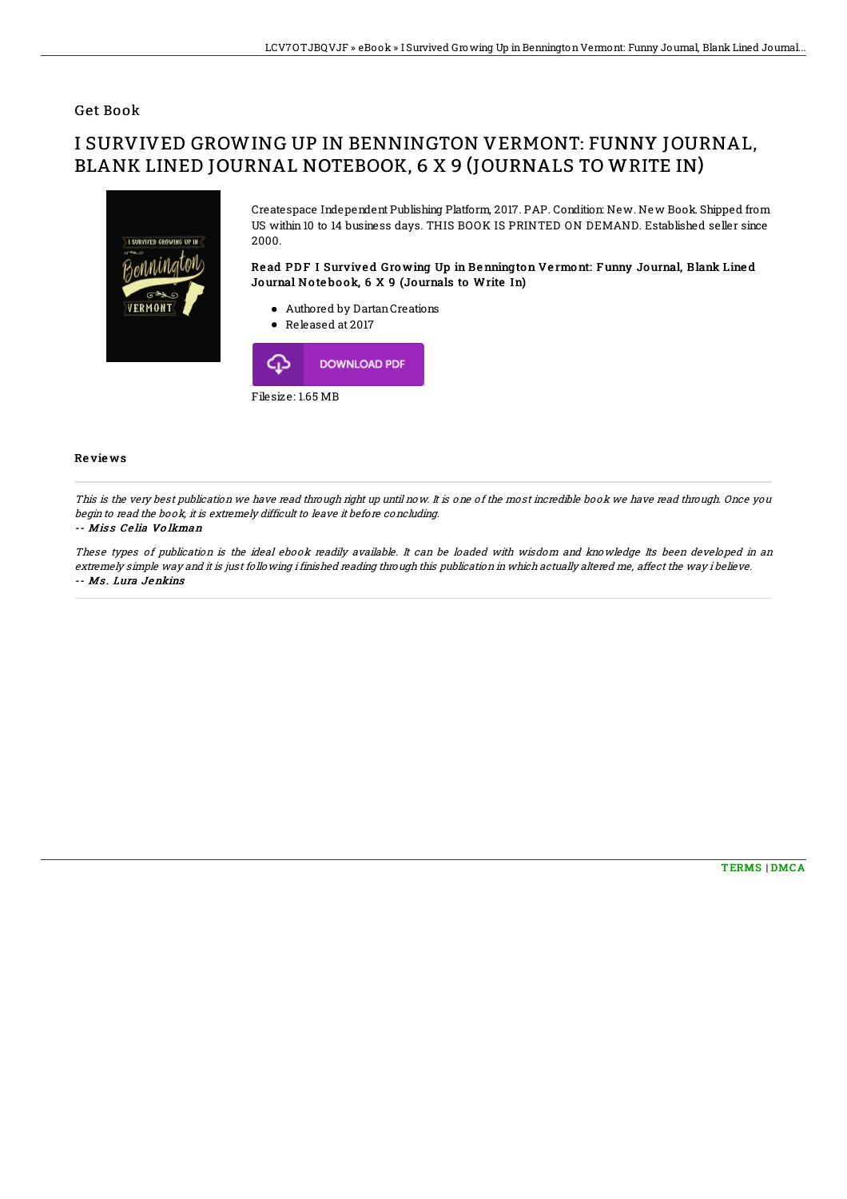## Get Book

# I SURVIVED GROWING UP IN BENNINGTON VERMONT: FUNNY JOURNAL, BLANK LINED JOURNAL NOTEBOOK, 6 X 9 (JOURNALS TO WRITE IN)



Createspace Independent Publishing Platform, 2017. PAP. Condition: New. New Book. Shipped from US within 10 to 14 business days. THIS BOOK IS PRINTED ON DEMAND. Established seller since 2000.

### Read PDF I Survived Growing Up in Bennington Vermont: Funny Journal, Blank Lined Journal No te bo ok, 6 X 9 (Journals to Write In)

- Authored by DartanCreations
- Released at 2017



#### Re vie ws

This is the very best publication we have read through right up until now. It is one of the most incredible book we have read through. Once you begin to read the book, it is extremely difficult to leave it before concluding.

#### -- Miss Celia Volkman

These types of publication is the ideal ebook readily available. It can be loaded with wisdom and knowledge Its been developed in an extremely simple way and it is just following i finished reading through this publication in which actually altered me, affect the way i believe. -- Ms. Lura Jenkins